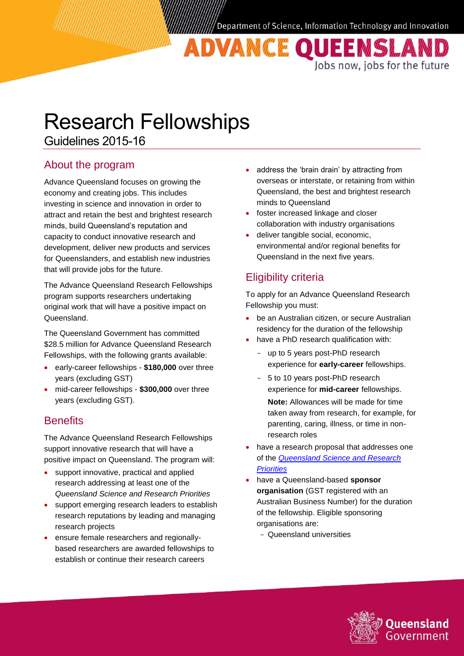Jobs now, jobs for the future

ADVANCE QUEENSLAN

Research Fellowships

Guidelines 2015-16

## About the program

Advance Queensland focuses on growing the economy and creating jobs. This includes investing in science and innovation in order to attract and retain the best and brightest research minds, build Queensland's reputation and capacity to conduct innovative research and development, deliver new products and services for Queenslanders, and establish new industries that will provide jobs for the future.

The Advance Queensland Research Fellowships program supports researchers undertaking original work that will have a positive impact on Queensland.

The Queensland Government has committed \$28.5 million for Advance Queensland Research Fellowships, with the following grants available:

- early-career fellowships **\$180,000** over three years (excluding GST)
- mid-career fellowships **\$300,000** over three years (excluding GST).

## **Benefits**

The Advance Queensland Research Fellowships support innovative research that will have a positive impact on Queensland. The program will:

- support innovative, practical and applied research addressing at least one of the *Queensland Science and Research Priorities*
- support emerging research leaders to establish research reputations by leading and managing research projects
- ensure female researchers and regionallybased researchers are awarded fellowships to establish or continue their research careers
- address the 'brain drain' by attracting from overseas or interstate, or retaining from within Queensland, the best and brightest research minds to Queensland
- foster increased linkage and closer collaboration with industry organisations
- deliver tangible social, economic, environmental and/or regional benefits for Queensland in the next five years.

## Eligibility criteria

To apply for an Advance Queensland Research Fellowship you must:

- be an Australian citizen, or secure Australian residency for the duration of the fellowship
- have a PhD research qualification with:
	- up to 5 years post-PhD research experience for **early-career** fellowships.
	- 5 to 10 years post-PhD research experience for **mid-career** fellowships.
		- **Note:** Allowances will be made for time taken away from research, for example, for parenting, caring, illness, or time in nonresearch roles
- have a research proposal that addresses one of the *[Queensland Science and Research](http://www.chiefscientist.qld.gov.au/images/documents/chiefscientist/qld-science-n-research-priorities-2015-2016.pdf)  [Priorities](http://www.chiefscientist.qld.gov.au/images/documents/chiefscientist/qld-science-n-research-priorities-2015-2016.pdf)*
- have a Queensland-based **sponsor organisation** (GST registered with an Australian Business Number) for the duration of the fellowship. Eligible sponsoring organisations are:
	- Queensland universities

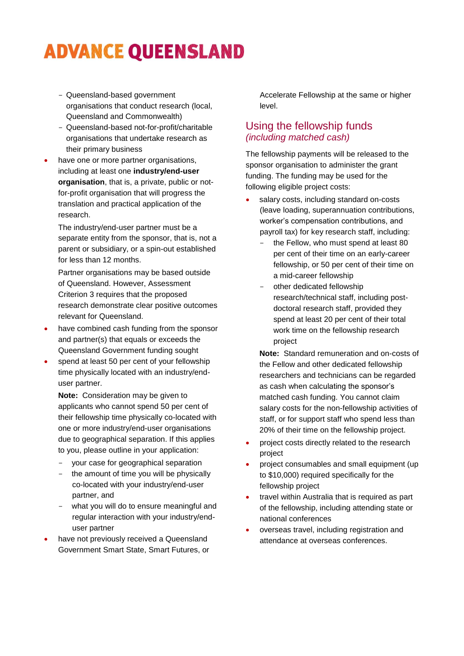# **ADVANCE QUEENSLAND**

- Queensland-based government organisations that conduct research (local, Queensland and Commonwealth)
- Queensland-based not-for-profit/charitable organisations that undertake research as their primary business
- have one or more partner organisations, including at least one **industry/end-user organisation**, that is, a private, public or notfor-profit organisation that will progress the translation and practical application of the research.

The industry/end-user partner must be a separate entity from the sponsor, that is, not a parent or subsidiary, or a spin-out established for less than 12 months.

Partner organisations may be based outside of Queensland. However, Assessment Criterion 3 requires that the proposed research demonstrate clear positive outcomes relevant for Queensland.

- have combined cash funding from the sponsor and partner(s) that equals or exceeds the Queensland Government funding sought
- spend at least 50 per cent of your fellowship time physically located with an industry/enduser partner.

**Note:** Consideration may be given to applicants who cannot spend 50 per cent of their fellowship time physically co-located with one or more industry/end-user organisations due to geographical separation. If this applies to you, please outline in your application:

- your case for geographical separation
- the amount of time you will be physically co-located with your industry/end-user partner, and
- what you will do to ensure meaningful and regular interaction with your industry/enduser partner
- have not previously received a Queensland Government Smart State, Smart Futures, or

Accelerate Fellowship at the same or higher level.

#### Using the fellowship funds *(including matched cash)*

The fellowship payments will be released to the sponsor organisation to administer the grant funding. The funding may be used for the following eligible project costs:

- salary costs, including standard on-costs (leave loading, superannuation contributions, worker's compensation contributions, and payroll tax) for key research staff, including:
	- the Fellow, who must spend at least 80 per cent of their time on an early-career fellowship, or 50 per cent of their time on a mid-career fellowship
	- other dedicated fellowship research/technical staff, including postdoctoral research staff, provided they spend at least 20 per cent of their total work time on the fellowship research project

**Note:** Standard remuneration and on-costs of the Fellow and other dedicated fellowship researchers and technicians can be regarded as cash when calculating the sponsor's matched cash funding. You cannot claim salary costs for the non-fellowship activities of staff, or for support staff who spend less than 20% of their time on the fellowship project.

- project costs directly related to the research project
- project consumables and small equipment (up to \$10,000) required specifically for the fellowship project
- travel within Australia that is required as part of the fellowship, including attending state or national conferences
- overseas travel, including registration and attendance at overseas conferences.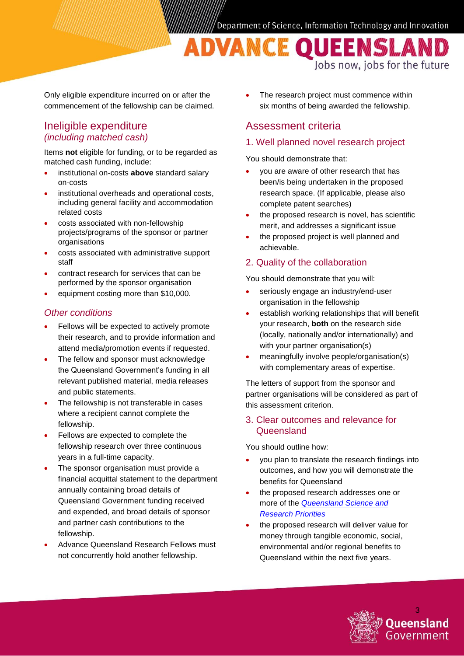ADVAMCE QUEEMSLAMD Jobs now, jobs for the future

Only eligible expenditure incurred on or after the commencement of the fellowship can be claimed.

#### Ineligible expenditure *(including matched cash)*

Items **not** eligible for funding, or to be regarded as matched cash funding, include:

- institutional on-costs **above** standard salary on-costs
- institutional overheads and operational costs, including general facility and accommodation related costs
- costs associated with non-fellowship projects/programs of the sponsor or partner organisations
- costs associated with administrative support staff
- contract research for services that can be performed by the sponsor organisation
- equipment costing more than \$10,000.

#### *Other conditions*

- Fellows will be expected to actively promote their research, and to provide information and attend media/promotion events if requested.
- The fellow and sponsor must acknowledge the Queensland Government's funding in all relevant published material, media releases and public statements.
- The fellowship is not transferable in cases where a recipient cannot complete the fellowship.
- Fellows are expected to complete the fellowship research over three continuous years in a full-time capacity.
- The sponsor organisation must provide a financial acquittal statement to the department annually containing broad details of Queensland Government funding received and expended, and broad details of sponsor and partner cash contributions to the fellowship.
- Advance Queensland Research Fellows must not concurrently hold another fellowship.

 The research project must commence within six months of being awarded the fellowship.

## Assessment criteria

#### 1. Well planned novel research project

You should demonstrate that:

- you are aware of other research that has been/is being undertaken in the proposed research space. (If applicable, please also complete patent searches)
- the proposed research is novel, has scientific merit, and addresses a significant issue
- the proposed project is well planned and achievable.

#### 2. Quality of the collaboration

You should demonstrate that you will:

- seriously engage an industry/end-user organisation in the fellowship
- establish working relationships that will benefit your research, **both** on the research side (locally, nationally and/or internationally) and with your partner organisation(s)
- meaningfully involve people/organisation(s) with complementary areas of expertise.

The letters of support from the sponsor and partner organisations will be considered as part of this assessment criterion.

#### 3. Clear outcomes and relevance for **Queensland**

You should outline how:

- you plan to translate the research findings into outcomes, and how you will demonstrate the benefits for Queensland
- the proposed research addresses one or more of the *[Queensland Science and](http://www.chiefscientist.qld.gov.au/images/documents/chiefscientist/qld-science-n-research-priorities-2015-2016.pdf)  [Research Priorities](http://www.chiefscientist.qld.gov.au/images/documents/chiefscientist/qld-science-n-research-priorities-2015-2016.pdf)*
- the proposed research will deliver value for money through tangible economic, social, environmental and/or regional benefits to Queensland within the next five years.

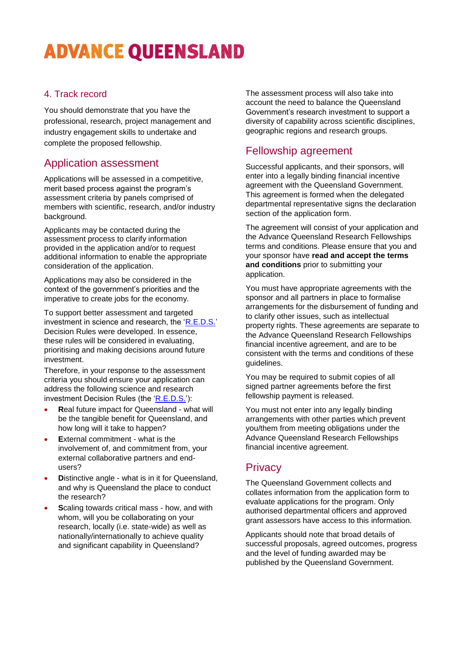# **ADVANCE QUEENSLAND**

#### 4. Track record

You should demonstrate that you have the professional, research, project management and industry engagement skills to undertake and complete the proposed fellowship.

## Application assessment

Applications will be assessed in a competitive, merit based process against the program's assessment criteria by panels comprised of members with scientific, research, and/or industry background.

Applicants may be contacted during the assessment process to clarify information provided in the application and/or to request additional information to enable the appropriate consideration of the application.

Applications may also be considered in the context of the government's priorities and the imperative to create jobs for the economy.

To support better assessment and targeted investment in science and research, the ['R.E.D.S.'](http://chiefscientist.qld.gov.au/strategy-priorities/decision-rules-for-investment-r-e-d-s)  Decision Rules were developed. In essence, these rules will be considered in evaluating, prioritising and making decisions around future investment.

Therefore, in your response to the assessment criteria you should ensure your application can address the following science and research investment Decision Rules (the ['R.E.D.S.'\)](http://chiefscientist.qld.gov.au/strategy-priorities/decision-rules-for-investment-r-e-d-s):

- **R**eal future impact for Queensland what will be the tangible benefit for Queensland, and how long will it take to happen?
- **E**xternal commitment what is the involvement of, and commitment from, your external collaborative partners and endusers?
- **Distinctive angle what is in it for Queensland,** and why is Queensland the place to conduct the research?
- **S**caling towards critical mass how, and with whom, will you be collaborating on your research, locally (i.e. state-wide) as well as nationally/internationally to achieve quality and significant capability in Queensland?

The assessment process will also take into account the need to balance the Queensland Government's research investment to support a diversity of capability across scientific disciplines, geographic regions and research groups.

## Fellowship agreement

Successful applicants, and their sponsors, will enter into a legally binding financial incentive agreement with the Queensland Government. This agreement is formed when the delegated departmental representative signs the declaration section of the application form.

The agreement will consist of your application and the Advance Queensland Research Fellowships terms and conditions. Please ensure that you and your sponsor have **read and accept the terms and conditions** prior to submitting your application.

You must have appropriate agreements with the sponsor and all partners in place to formalise arrangements for the disbursement of funding and to clarify other issues, such as intellectual property rights. These agreements are separate to the Advance Queensland Research Fellowships financial incentive agreement, and are to be consistent with the terms and conditions of these guidelines.

You may be required to submit copies of all signed partner agreements before the first fellowship payment is released.

You must not enter into any legally binding arrangements with other parties which prevent you/them from meeting obligations under the Advance Queensland Research Fellowships financial incentive agreement.

## **Privacy**

The Queensland Government collects and collates information from the application form to evaluate applications for the program. Only authorised departmental officers and approved grant assessors have access to this information.

Applicants should note that broad details of successful proposals, agreed outcomes, progress and the level of funding awarded may be published by the Queensland Government.